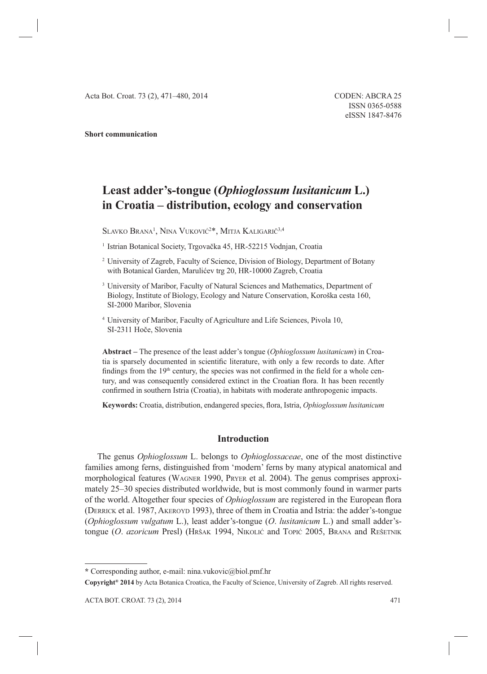#### **Short communication**

# **Least adder's-tongue (***Ophioglossum lusitanicum* **L.) in Croatia – distribution, ecology and conservation**

 $\rm SL$ avko Brana<sup>1</sup>, Nina Vuković<sup>2</sup>\*, Mitja Kaligarič<sup>3,4</sup>

<sup>1</sup> Istrian Botanical Society, Trgovačka 45, HR-52215 Vodnjan, Croatia

- 2 University of Zagreb, Faculty of Science, Division of Biology, Department of Botany with Botanical Garden, Marulićev trg 20, HR-10000 Zagreb, Croatia
- <sup>3</sup> University of Maribor, Faculty of Natural Sciences and Mathematics, Department of Biology, Institute of Biology, Ecology and Nature Conservation, Koroška cesta 160, SI-2000 Maribor, Slovenia
- 4 University of Maribor, Faculty of Agriculture and Life Sciences, Pivola 10, SI-2311 Hoče, Slovenia

**Abstract –** The presence of the least adder's tongue (*Ophioglossum lusitanicum*) in Croatia is sparsely documented in scientific literature, with only a few records to date. After findings from the  $19<sup>th</sup>$  century, the species was not confirmed in the field for a whole century, and was consequently considered extinct in the Croatian flora. It has been recently confirmed in southern Istria (Croatia), in habitats with moderate anthropogenic impacts.

**Keywords:** Croatia, distribution, endangered species, flora, Istria, *Ophioglossum lusitanicum* 

### **Introduction**

The genus *Ophioglossum* L. belongs to *Ophioglossaceae*, one of the most distinctive families among ferns, distinguished from 'modern' ferns by many atypical anatomical and morphological features (WAGNER 1990, PRYER et al. 2004). The genus comprises approximately 25–30 species distributed worldwide, but is most commonly found in warmer parts of the world. Altogether four species of *Ophioglossum* are registered in the European flora (DERRICK et al. 1987, AKEROYD 1993), three of them in Croatia and Istria: the adder's-tongue (*Ophioglossum vulgatum* L.), least adder's-tongue (*O*. *lusitanicum* L.) and small adder'stongue (*O*. *azoricum* Presl) (HRŠAK 1994, NIKOLIĆ and TOPIĆ 2005, BRANA and REŠETNIK

**<sup>\*</sup>** Corresponding author, e-mail: nina.vukovic@biol.pmf.hr

**Copyright® 2014** by Acta Botanica Croatica, the Faculty of Science, University of Zagreb. All rights reserved.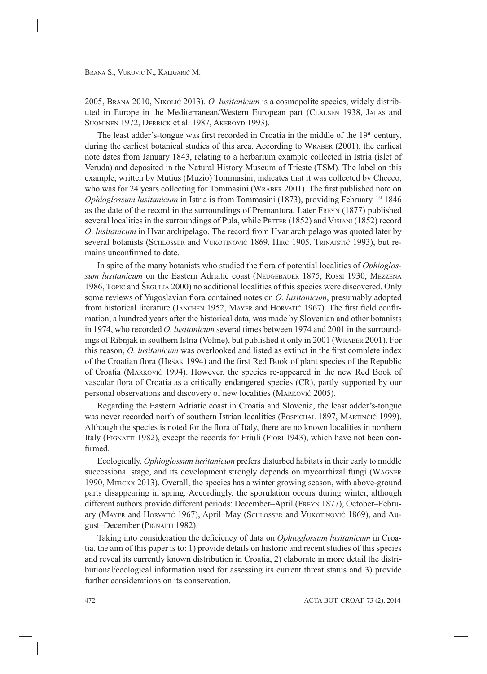2005, BRANA 2010, NIKOLIĆ 2013). *O. lusitanicum* is a cosmopolite species, widely distributed in Europe in the Mediterranean/Western European part (CLAUSEN 1938, JALAS and SUOMINEN 1972, DERRICK et al. 1987, AKEROYD 1993).

The least adder's-tongue was first recorded in Croatia in the middle of the 19<sup>th</sup> century, during the earliest botanical studies of this area. According to WRABER (2001), the earliest note dates from January 1843, relating to a herbarium example collected in Istria (islet of Veruda) and deposited in the Natural History Museum of Trieste (TSM). The label on this example, written by Mutius (Muzio) Tommasini, indicates that it was collected by Checco, who was for 24 years collecting for Tommasini (WRABER 2001). The first published note on *Ophioglossum lusitanicum* in Istria is from Tommasini (1873), providing February 1st 1846 as the date of the record in the surroundings of Premantura. Later FREYN (1877) published several localities in the surroundings of Pula, while PETTER (1852) and VISIANI (1852) record *O*. *lusitanicum* in Hvar archipelago. The record from Hvar archipelago was quoted later by several botanists (SCHLOSSER and VUKOTINOVIĆ 1869, HIRC 1905, TRINAJSTIĆ 1993), but remains unconfirmed to date.

In spite of the many botanists who studied the flora of potential localities of *Ophioglossum lusitanicum* on the Eastern Adriatic coast (NEUGEBAUER 1875, ROSSI 1930, MEZZENA 1986, TOPIĆ and ŠEGULJA 2000) no additional localities of this species were discovered. Only some reviews of Yugoslavian flora contained notes on *O. lusitanicum*, presumably adopted from historical literature (JANCHEN 1952, MAYER and HORVATIĆ 1967). The first field confirmation, a hundred years after the historical data, was made by Slovenian and other botanists in 1974, who recorded *O. lusitanicum* several times between 1974 and 2001 in the surroundings of Ribnjak in southern Istria (Volme), but published it only in 2001 (WRABER 2001). For this reason, *O. lusitanicum* was overlooked and listed as extinct in the first complete index of the Croatian flora (HRŠAK 1994) and the first Red Book of plant species of the Republic of Croatia (MARKOVIĆ 1994). However, the species re-appeared in the new Red Book of vascular flora of Croatia as a critically endangered species (CR), partly supported by our personal observations and discovery of new localities (MARKOVIĆ 2005).

Regarding the Eastern Adriatic coast in Croatia and Slovenia, the least adder's-tongue was never recorded north of southern Istrian localities (POSPICHAL 1897, MARTINČIČ 1999). Although the species is noted for the flora of Italy, there are no known localities in northern Italy (PIGNATTI 1982), except the records for Friuli (FIORI 1943), which have not been confirmed.

Ecologically, *Ophioglossum lusitanicum* prefers disturbed habitats in their early to middle successional stage, and its development strongly depends on mycorrhizal fungi (WAGNER 1990, MERCKX 2013). Overall, the species has a winter growing season, with above-ground parts disappearing in spring. Accordingly, the sporulation occurs during winter, although different authors provide different periods: December–April (FREYN 1877), October–February (MAYER and HORVATIĆ 1967), April–May (SCHLOSSER and VUKOTINOVIĆ 1869), and August–December (PIGNATTI 1982).

Taking into consideration the deficiency of data on *Ophioglossum lusitanicum* in Croatia, the aim of this paper is to: 1) provide details on historic and recent studies of this species and reveal its currently known distribution in Croatia, 2) elaborate in more detail the distributional/ecological information used for assessing its current threat status and 3) provide further considerations on its conservation.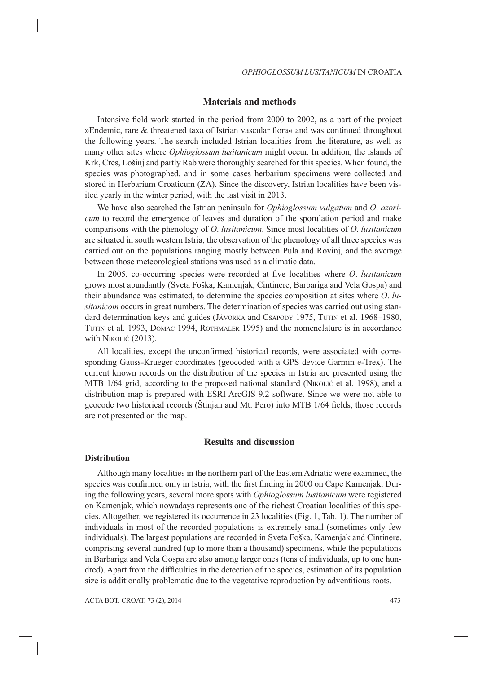#### **Materials and methods**

Intensive field work started in the period from 2000 to 2002, as a part of the project »Endemic, rare & threatened taxa of Istrian vascular flora« and was continued throughout the following years. The search included Istrian localities from the literature, as well as many other sites where *Ophioglossum lusitanicum* might occur. In addition, the islands of Krk, Cres, Lošinj and partly Rab were thoroughly searched for this species. When found, the species was photographed, and in some cases herbarium specimens were collected and stored in Herbarium Croaticum (ZA). Since the discovery, Istrian localities have been visited yearly in the winter period, with the last visit in 2013.

We have also searched the Istrian peninsula for *Ophioglossum vulgatum* and *O*. *azoricum* to record the emergence of leaves and duration of the sporulation period and make comparisons with the phenology of *O*. *lusitanicum*. Since most localities of *O*. *lusitanicum* are situated in south western Istria, the observation of the phenology of all three species was carried out on the populations ranging mostly between Pula and Rovinj, and the average between those meteorological stations was used as a climatic data.

In 2005, co-occurring species were recorded at five localities where *O. lusitanicum* grows most abundantly (Sveta Foška, Kamenjak, Cintinere, Barbariga and Vela Gospa) and their abundance was estimated, to determine the species composition at sites where *O*. *lusitanicom* occurs in great numbers. The determination of species was carried out using standard determination keys and guides (JÁVORKA and CSAPODY 1975, TUTIN et al. 1968–1980, TUTIN et al. 1993, DOMAC 1994, ROTHMALER 1995) and the nomenclature is in accordance with NIKOLIĆ (2013).

All localities, except the unconfirmed historical records, were associated with corresponding Gauss-Krueger coordinates (geocoded with a GPS device Garmin e-Trex). The current known records on the distribution of the species in Istria are presented using the MTB 1/64 grid, according to the proposed national standard (NIKOLIĆ et al. 1998), and a distribution map is prepared with ESRI ArcGIS 9.2 software. Since we were not able to geocode two historical records (Stinjan and Mt. Pero) into MTB 1/64 fields, those records are not presented on the map.

# **Results and discussion**

#### **Distribution**

Although many localities in the northern part of the Eastern Adriatic were examined, the species was confirmed only in Istria, with the first finding in 2000 on Cape Kamenjak. During the following years, several more spots with *Ophioglossum lusitanicum* were registered on Kamenjak, which nowadays represents one of the richest Croatian localities of this species. Altogether, we registered its occurrence in 23 localities (Fig. 1, Tab. 1). The number of individuals in most of the recorded populations is extremely small (sometimes only few individuals). The largest populations are recorded in Sveta Foška, Kamenjak and Cintinere, comprising several hundred (up to more than a thousand) specimens, while the populations in Barbariga and Vela Gospa are also among larger ones (tens of individuals, up to one hundred). Apart from the difficulties in the detection of the species, estimation of its population size is additionally problematic due to the vegetative reproduction by adventitious roots.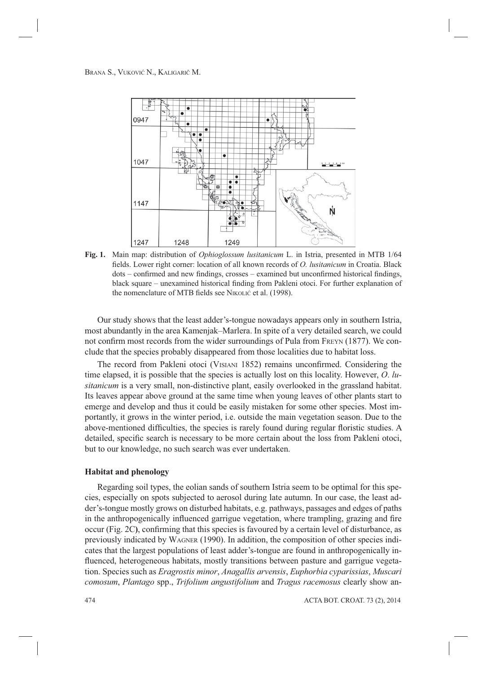

**Fig. 1.** Main map: distribution of *Ophioglossum lusitanicum* L. in Istria, presented in MTB 1/64 fields. Lower right corner: location of all known records of *O. lusitanicum* in Croatia. Black  $dots -$  confirmed and new findings, crosses – examined but unconfirmed historical findings, black square – unexamined historical finding from Pakleni otoci. For further explanation of the nomenclature of MTB fields see NIKOLIĆ et al. (1998).

Our study shows that the least adder's-tongue nowadays appears only in southern Istria, most abundantly in the area Kamenjak–Marlera. In spite of a very detailed search, we could not confirm most records from the wider surroundings of Pula from FREYN (1877). We conclude that the species probably disappeared from those localities due to habitat loss.

The record from Pakleni otoci (VISIANI 1852) remains unconfirmed. Considering the time elapsed, it is possible that the species is actually lost on this locality. However, *O*. *lusitanicum* is a very small, non-distinctive plant, easily overlooked in the grassland habitat. Its leaves appear above ground at the same time when young leaves of other plants start to emerge and develop and thus it could be easily mistaken for some other species. Most importantly, it grows in the winter period, i.e. outside the main vegetation season. Due to the above-mentioned difficulties, the species is rarely found during regular floristic studies. A detailed, specific search is necessary to be more certain about the loss from Pakleni otoci, but to our knowledge, no such search was ever undertaken.

#### **Habitat and phenology**

Regarding soil types, the eolian sands of southern Istria seem to be optimal for this species, especially on spots subjected to aerosol during late autumn. In our case, the least adder's-tongue mostly grows on disturbed habitats, e.g. pathways, passages and edges of paths in the anthropogenically influenced garrigue vegetation, where trampling, grazing and fire occur (Fig. 2C), confirming that this species is favoured by a certain level of disturbance, as previously indicated by WAGNER (1990). In addition, the composition of other species indicates that the largest populations of least adder's-tongue are found in anthropogenically influenced, heterogeneous habitats, mostly transitions between pasture and garrigue vegetation. Species such as *Eragrostis minor*, *Anagallis arvensis*, *Euphorbia cyparissias*, *Muscari comosum*, *Plantago* spp., *Trifolium angustifolium* and *Tragus racemosus* clearly show an-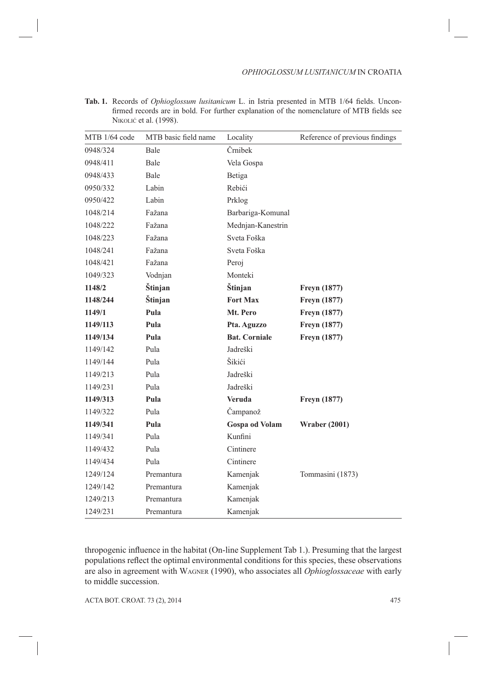| <b>Tab. 1.</b> Records of <i>Ophioglossum lusitanicum</i> L. in Istria presented in MTB 1/64 fields. Uncon- |  |  |
|-------------------------------------------------------------------------------------------------------------|--|--|
| firmed records are in bold. For further explanation of the nomenclature of MTB fields see                   |  |  |
| NIKOLIĆ et al. (1998).                                                                                      |  |  |

| MTB 1/64 code | MTB basic field name | Locality              | Reference of previous findings |
|---------------|----------------------|-----------------------|--------------------------------|
| 0948/324      | Bale                 | Črnibek               |                                |
| 0948/411      | Bale                 | Vela Gospa            |                                |
| 0948/433      | Bale                 | Betiga                |                                |
| 0950/332      | Labin                | Rebići                |                                |
| 0950/422      | Labin                | Prklog                |                                |
| 1048/214      | Fažana               | Barbariga-Komunal     |                                |
| 1048/222      | Fažana               | Mednjan-Kanestrin     |                                |
| 1048/223      | Fažana               | Sveta Foška           |                                |
| 1048/241      | Fažana               | Sveta Foška           |                                |
| 1048/421      | Fažana               | Peroj                 |                                |
| 1049/323      | Vodnjan              | Monteki               |                                |
| 1148/2        | Štinjan              | Štinjan               | Freyn (1877)                   |
| 1148/244      | Štinjan              | <b>Fort Max</b>       | Freyn (1877)                   |
| 1149/1        | Pula                 | Mt. Pero              | <b>Freyn</b> (1877)            |
| 1149/113      | Pula                 | Pta. Aguzzo           | <b>Freyn</b> (1877)            |
| 1149/134      | Pula                 | <b>Bat. Corniale</b>  | <b>Freyn</b> (1877)            |
| 1149/142      | Pula                 | Jadreški              |                                |
| 1149/144      | Pula                 | Šikići                |                                |
| 1149/213      | Pula                 | Jadreški              |                                |
| 1149/231      | Pula                 | Jadreški              |                                |
| 1149/313      | Pula                 | <b>Veruda</b>         | Freyn (1877)                   |
| 1149/322      | Pula                 | Čampanož              |                                |
| 1149/341      | Pula                 | <b>Gospa od Volam</b> | <b>Wraber (2001)</b>           |
| 1149/341      | Pula                 | Kunfini               |                                |
| 1149/432      | Pula                 | Cintinere             |                                |
| 1149/434      | Pula                 | Cintinere             |                                |
| 1249/124      | Premantura           | Kamenjak              | Tommasini (1873)               |
| 1249/142      | Premantura           | Kamenjak              |                                |
| 1249/213      | Premantura           | Kamenjak              |                                |
| 1249/231      | Premantura           | Kamenjak              |                                |

thropogenic influence in the habitat (On-line Supplement Tab 1.). Presuming that the largest populations reflect the optimal environmental conditions for this species, these observations are also in agreement with WAGNER (1990), who associates all *Ophioglossaceae* with early to middle succession.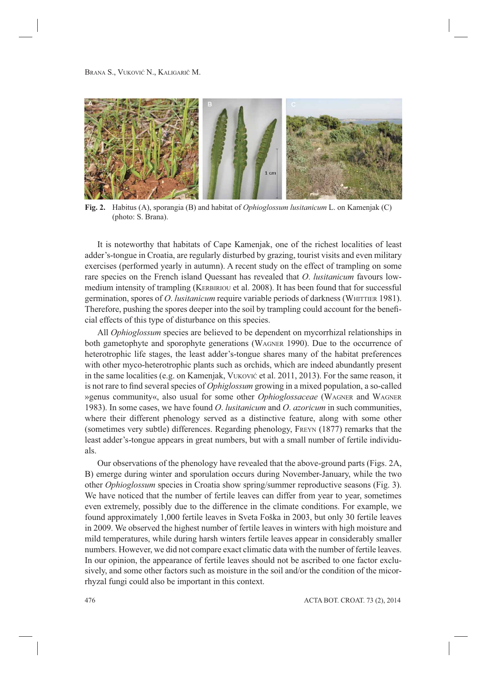

**Fig. 2.** Habitus (A), sporangia (B) and habitat of *Ophioglossum lusitanicum* L. on Kamenjak (C) (photo: S. Brana).

It is noteworthy that habitats of Cape Kamenjak, one of the richest localities of least adder's-tongue in Croatia, are regularly disturbed by grazing, tourist visits and even military exercises (performed yearly in autumn). A recent study on the effect of trampling on some rare species on the French island Quessant has revealed that *O*. *lusitanicum* favours lowmedium intensity of trampling (KERBIRIOU et al. 2008). It has been found that for successful germination, spores of *O*. *lusitanicum* require variable periods of darkness (WHITTIER 1981). Therefore, pushing the spores deeper into the soil by trampling could account for the beneficial effects of this type of disturbance on this species.

All *Ophioglossum* species are believed to be dependent on mycorrhizal relationships in both gametophyte and sporophyte generations (WAGNER 1990). Due to the occurrence of heterotrophic life stages, the least adder's-tongue shares many of the habitat preferences with other myco-heterotrophic plants such as orchids, which are indeed abundantly present in the same localities (e.g. on Kamenjak, VUKOVIĆ et al. 2011, 2013). For the same reason, it is not rare to find several species of *Ophiglossum* growing in a mixed population, a so-called »genus community«, also usual for some other *Ophioglossaceae* (WAGNER and WAGNER 1983). In some cases, we have found *O*. *lusitanicum* and *O*. *azoricum* in such communities, where their different phenology served as a distinctive feature, along with some other (sometimes very subtle) differences. Regarding phenology, FREYN (1877) remarks that the least adder's-tongue appears in great numbers, but with a small number of fertile individuals.

Our observations of the phenology have revealed that the above-ground parts (Figs. 2A, B) emerge during winter and sporulation occurs during November-January, while the two other *Ophioglossum* species in Croatia show spring/summer reproductive seasons (Fig. 3). We have noticed that the number of fertile leaves can differ from year to year, sometimes even extremely, possibly due to the difference in the climate conditions. For example, we found approximately 1,000 fertile leaves in Sveta Foška in 2003, but only 30 fertile leaves in 2009. We observed the highest number of fertile leaves in winters with high moisture and mild temperatures, while during harsh winters fertile leaves appear in considerably smaller numbers. However, we did not compare exact climatic data with the number of fertile leaves. In our opinion, the appearance of fertile leaves should not be ascribed to one factor exclusively, and some other factors such as moisture in the soil and/or the condition of the micorrhyzal fungi could also be important in this context.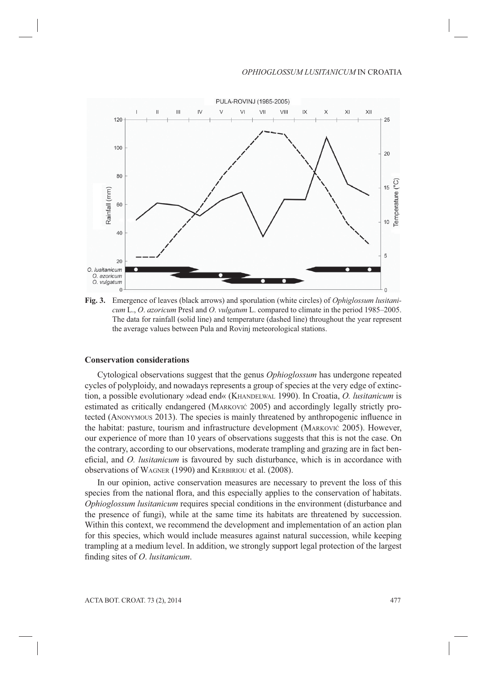

**Fig. 3.** Emergence of leaves (black arrows) and sporulation (white circles) of *Ophiglossum lusitanicum* L., *O*. *azoricum* Presl and *O*. *vulgatum* L. compared to climate in the period 1985–2005. The data for rainfall (solid line) and temperature (dashed line) throughout the year represent the average values between Pula and Rovinj meteorological stations.

#### **Conservation considerations**

Cytological observations suggest that the genus *Ophioglossum* has undergone repeated cycles of polyploidy, and nowadays represents a group of species at the very edge of extinction, a possible evolutionary »dead end« (KHANDELWAL 1990). In Croatia, *O. lusitanicum* is estimated as critically endangered (MARKOVIĆ 2005) and accordingly legally strictly protected (ANONYMOUS 2013). The species is mainly threatened by anthropogenic influence in the habitat: pasture, tourism and infrastructure development (MARKOVIĆ 2005). However, our experience of more than 10 years of observations suggests that this is not the case. On the contrary, according to our observations, moderate trampling and grazing are in fact beneficial, and *O. lusitanicum* is favoured by such disturbance, which is in accordance with observations of WAGNER (1990) and KERBIRIOU et al. (2008).

In our opinion, active conservation measures are necessary to prevent the loss of this species from the national flora, and this especially applies to the conservation of habitats. *Ophioglossum lusitanicum* requires special conditions in the environment (disturbance and the presence of fungi), while at the same time its habitats are threatened by succession. Within this context, we recommend the development and implementation of an action plan for this species, which would include measures against natural succession, while keeping trampling at a medium level. In addition, we strongly support legal protection of the largest fi nding sites of *O*. *lusitanicum*.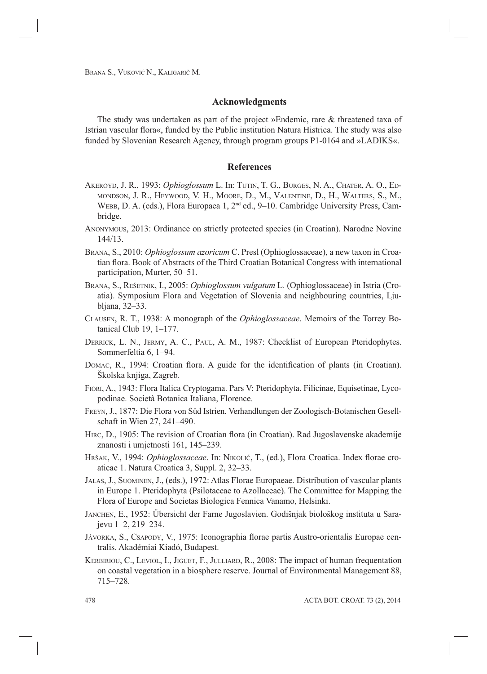#### **Acknowledgments**

The study was undertaken as part of the project »Endemic, rare & threatened taxa of Istrian vascular flora«, funded by the Public institution Natura Histrica. The study was also funded by Slovenian Research Agency, through program groups P1-0164 and »LADIKS«.

## **References**

- AKEROYD, J. R., 1993: *Ophioglossum* L. In: TUTIN, T. G., BURGES, N. A., CHATER, A. O., ED-MONDSON, J. R., HEYWOOD, V. H., MOORE, D., M., VALENTINE, D., H., WALTERS, S., M., WEBB, D. A. (eds.), Flora Europaea 1, 2<sup>nd</sup> ed., 9–10. Cambridge University Press, Cambridge.
- ANONYMOUS, 2013: Ordinance on strictly protected species (in Croatian). Narodne Novine 144/13.
- BRANA, S., 2010: *Ophioglossum azoricum* C. Presl (Ophioglossaceae), a new taxon in Croatian flora. Book of Abstracts of the Third Croatian Botanical Congress with international participation, Murter, 50–51.
- BRANA, S., REŠETNIK, I., 2005: *Ophioglossum vulgatum* L. (Ophioglossaceae) in Istria (Croatia). Symposium Flora and Vegetation of Slovenia and neighbouring countries, Ljubljana, 32–33.
- CLAUSEN, R. T., 1938: A monograph of the *Ophioglossaceae*. Memoirs of the Torrey Botanical Club 19, 1–177.
- DERRICK, L. N., JERMY, A. C., PAUL, A. M., 1987: Checklist of European Pteridophytes. Sommerfeltia 6, 1–94.
- DOMAC, R., 1994: Croatian flora. A guide for the identification of plants (in Croatian). Školska knjiga, Zagreb.
- FIORI, A., 1943: Flora Italica Cryptogama. Pars V: Pteridophyta. Filicinae, Equisetinae, Lycopodinae. Società Botanica Italiana, Florence.
- FREYN, J., 1877: Die Flora von Süd Istrien. Verhandlungen der Zoologisch-Botanischen Gesellschaft in Wien 27, 241–490.
- HIRC, D., 1905: The revision of Croatian flora (in Croatian). Rad Jugoslavenske akademije znanosti i umjetnosti 161, 145–239.
- HRŠAK, V., 1994: *Ophioglossaceae*. In: NIKOLIĆ, T., (ed.), Flora Croatica. Index florae croaticae 1. Natura Croatica 3, Suppl. 2, 32–33.
- JALAS, J., SUOMINEN, J., (eds.), 1972: Atlas Florae Europaeae. Distribution of vascular plants in Europe 1. Pteridophyta (Psilotaceae to Azollaceae). The Committee for Mapping the Flora of Europe and Societas Biologica Fennica Vanamo, Helsinki.
- JANCHEN, E., 1952: Übersicht der Farne Jugoslavien. Godišnjak biološkog instituta u Sarajevu 1–2, 219–234.
- JÁVORKA, S., CSAPODY, V., 1975: Iconographia florae partis Austro-orientalis Europae centralis. Akadémiai Kiadó, Budapest.
- KERBIRIOU, C., LEVIOL, I., JIGUET, F., JULLIARD, R., 2008: The impact of human frequentation on coastal vegetation in a biosphere reserve. Journal of Environmental Management 88, 715–728.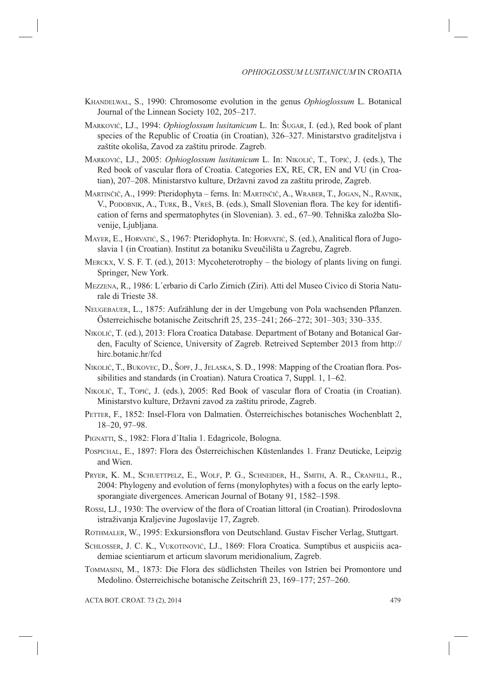- KHANDELWAL, S., 1990: Chromosome evolution in the genus *Ophioglossum* L. Botanical Journal of the Linnean Society 102, 205–217.
- MARKOVIĆ, LJ., 1994: *Ophioglossum lusitanicum* L. In: ŠUGAR, I. (ed.), Red book of plant species of the Republic of Croatia (in Croatian), 326–327. Ministarstvo graditeljstva i zaštite okoliša, Zavod za zaštitu prirode. Zagreb.
- MARKOVIĆ, LJ., 2005: *Ophioglossum lusitanicum* L. In: NIKOLIĆ, T., TOPIĆ, J. (eds.), The Red book of vascular flora of Croatia. Categories EX, RE, CR, EN and VU (in Croatian), 207–208. Ministarstvo kulture, Državni zavod za zaštitu prirode, Zagreb.
- MARTINČIČ, A., 1999: Pteridophyta ferns. In: MARTINČIČ, A., WRABER, T., JOGAN, N., RAVNIK, V., PODOBNIK, A., TURK, B., VREŠ, B. (eds.), Small Slovenian flora. The key for identification of ferns and spermatophytes (in Slovenian). 3. ed., 67–90. Tehniška založba Slovenije, Ljubljana.
- MAYER, E., HORVATIĆ, S., 1967: Pteridophyta. In: HORVATIĆ, S. (ed.), Analitical flora of Jugoslavia 1 (in Croatian). Institut za botaniku Sveučilišta u Zagrebu, Zagreb.
- MERCKX, V. S. F. T. (ed.), 2013: Mycoheterotrophy the biology of plants living on fungi. Springer, New York.
- MEZZENA, R., 1986: L´erbario di Carlo Zirnich (Ziri). Atti del Museo Civico di Storia Naturale di Trieste 38.
- NEUGEBAUER, L., 1875: Aufzählung der in der Umgebung von Pola wachsenden Pflanzen. Österreichische botanische Zeitschrift 25, 235–241; 266–272; 301–303; 330–335.
- NIKOLIĆ, T. (ed.), 2013: Flora Croatica Database. Department of Botany and Botanical Garden, Faculty of Science, University of Zagreb. Retreived September 2013 from http:// hirc.botanic.hr/fcd
- NIKOLIĆ, T., BUKOVEC, D., ŠOPF, J., JELASKA, S. D., 1998: Mapping of the Croatian flora. Possibilities and standards (in Croatian). Natura Croatica 7, Suppl. 1, 1–62.
- NIKOLIĆ, T., TOPIĆ, J. (eds.), 2005: Red Book of vascular flora of Croatia (in Croatian). Ministarstvo kulture, Državni zavod za zaštitu prirode, Zagreb.
- PETTER, F., 1852: Insel-Flora von Dalmatien. Österreichisches botanisches Wochenblatt 2, 18–20, 97–98.
- PIGNATTI, S., 1982: Flora d´Italia 1. Edagricole, Bologna.
- POSPICHAL, E., 1897: Flora des Österreichischen Küstenlandes 1. Franz Deuticke, Leipzig and Wien.
- PRYER, K. M., SCHUETTPELZ, E., WOLF, P. G., SCHNEIDER, H., SMITH, A. R., CRANFILL, R., 2004: Phylogeny and evolution of ferns (monylophytes) with a focus on the early leptosporangiate divergences. American Journal of Botany 91, 1582–1598.
- Rossi, LJ., 1930: The overview of the flora of Croatian littoral (in Croatian). Prirodoslovna istraživanja Kraljevine Jugoslavije 17, Zagreb.
- ROTHMALER, W., 1995: Exkursionsflora von Deutschland. Gustav Fischer Verlag, Stuttgart.
- SCHLOSSER, J. C. K., VUKOTINOVIĆ, LJ., 1869: Flora Croatica. Sumptibus et auspiciis academiae scientiarum et articum slavorum meridionalium, Zagreb.
- TOMMASINI, M., 1873: Die Flora des südlichsten Theiles von Istrien bei Promontore und Medolino. Österreichische botanische Zeitschrift 23, 169–177; 257–260.